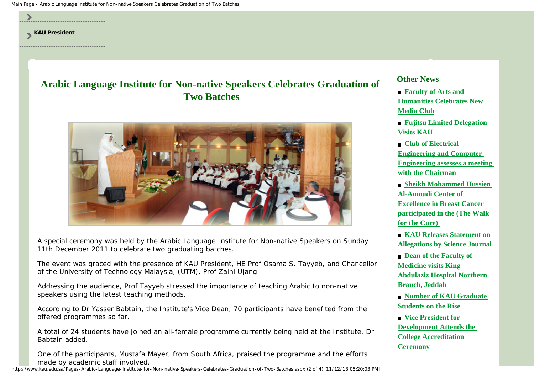Main Page - Arabic Language Institute for Non-native Speakers Celebrates Graduation of Two Batches



**[Allegations by Science Journal](http://www.kau.edu.sa/Content.aspx?Site_ID=0&Lng=EN&CID=116253)**

**[Abdulaziz Hospital Northern](http://medicine.kau.edu.sa/Pages-Medicine-visited-King-Abdul.aspx)** 

 **[Number of KAU Graduate](http://www.kau.edu.sa/Content.aspx?Site_ID=0&Lng=EN&CID=116091)** 

**[Development Attends the](http://art.kau.edu.sa/Pages-College-Accreditation-Ceremony.aspx) [College Accreditation](http://art.kau.edu.sa/Pages-College-Accreditation-Ceremony.aspx)** 

 $\blacksquare$  **Dean of the Faculty of [Medicine visits King](http://medicine.kau.edu.sa/Pages-Medicine-visited-King-Abdul.aspx)** 

**[Branch, Jeddah](http://medicine.kau.edu.sa/Pages-Medicine-visited-King-Abdul.aspx)**

**[Ceremony](http://art.kau.edu.sa/Pages-College-Accreditation-Ceremony.aspx)**

**[Students on the Rise](http://www.kau.edu.sa/Content.aspx?Site_ID=0&Lng=EN&CID=116091)**  $\blacksquare$  **[Vice President for](http://art.kau.edu.sa/Pages-College-Accreditation-Ceremony.aspx)** 

A special ceremony was held by the Arabic Language Institute for Non-native Speakers on Sunday 11th December 2011 to celebrate two graduating batches.

The event was graced with the presence of KAU President, HE Prof Osama S. Tayyeb, and Chancellor of the University of Technology Malaysia, (UTM), Prof Zaini Ujang.

Addressing the audience, Prof Tayyeb stressed the importance of teaching Arabic to non-native speakers using the latest teaching methods.

According to Dr Yasser Babtain, the Institute's Vice Dean, 70 participants have benefited from the offered programmes so far.

A total of 24 students have joined an all-female programme currently being held at the Institute, Dr Babtain added.

One of the participants, Mustafa Mayer, from South Africa, praised the programme and the efforts made by academic staff involved.

http://www.kau.edu.sa/Pages-Arabic-Language-Institute-for-Non-native-Speakers-Celebrates-Graduation-of-Two-Batches.aspx (2 of 4) [11/12/13 05:20:03 PM]